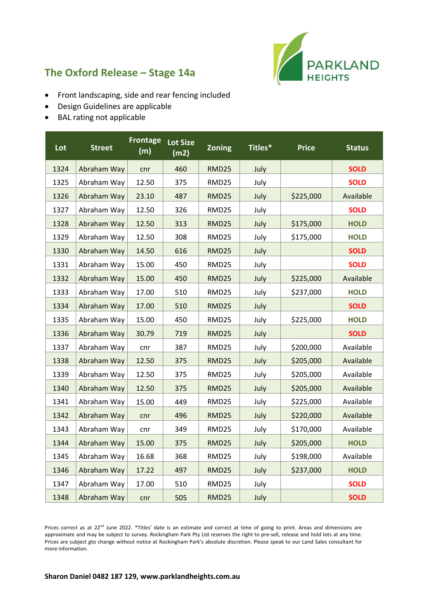

## **The Oxford Release – Stage 14a**

- Front landscaping, side and rear fencing included
- Design Guidelines are applicable
- BAL rating not applicable

| Lot  | <b>Street</b> | <b>Frontage</b><br>(m) | <b>Lot Size</b><br>(m2) | <b>Zoning</b> | Titles* | <b>Price</b> | <b>Status</b> |
|------|---------------|------------------------|-------------------------|---------------|---------|--------------|---------------|
| 1324 | Abraham Way   | cnr                    | 460                     | <b>RMD25</b>  | July    |              | <b>SOLD</b>   |
| 1325 | Abraham Way   | 12.50                  | 375                     | RMD25         | July    |              | <b>SOLD</b>   |
| 1326 | Abraham Way   | 23.10                  | 487                     | <b>RMD25</b>  | July    | \$225,000    | Available     |
| 1327 | Abraham Way   | 12.50                  | 326                     | RMD25         | July    |              | <b>SOLD</b>   |
| 1328 | Abraham Way   | 12.50                  | 313                     | <b>RMD25</b>  | July    | \$175,000    | <b>HOLD</b>   |
| 1329 | Abraham Way   | 12.50                  | 308                     | RMD25         | July    | \$175,000    | <b>HOLD</b>   |
| 1330 | Abraham Way   | 14.50                  | 616                     | RMD25         | July    |              | <b>SOLD</b>   |
| 1331 | Abraham Way   | 15.00                  | 450                     | RMD25         | July    |              | <b>SOLD</b>   |
| 1332 | Abraham Way   | 15.00                  | 450                     | <b>RMD25</b>  | July    | \$225,000    | Available     |
| 1333 | Abraham Way   | 17.00                  | 510                     | RMD25         | July    | \$237,000    | <b>HOLD</b>   |
| 1334 | Abraham Way   | 17.00                  | 510                     | RMD25         | July    |              | <b>SOLD</b>   |
| 1335 | Abraham Way   | 15.00                  | 450                     | RMD25         | July    | \$225,000    | <b>HOLD</b>   |
| 1336 | Abraham Way   | 30.79                  | 719                     | RMD25         | July    |              | <b>SOLD</b>   |
| 1337 | Abraham Way   | cnr                    | 387                     | RMD25         | July    | \$200,000    | Available     |
| 1338 | Abraham Way   | 12.50                  | 375                     | <b>RMD25</b>  | July    | \$205,000    | Available     |
| 1339 | Abraham Way   | 12.50                  | 375                     | RMD25         | July    | \$205,000    | Available     |
| 1340 | Abraham Way   | 12.50                  | 375                     | <b>RMD25</b>  | July    | \$205,000    | Available     |
| 1341 | Abraham Way   | 15.00                  | 449                     | RMD25         | July    | \$225,000    | Available     |
| 1342 | Abraham Way   | cnr                    | 496                     | RMD25         | July    | \$220,000    | Available     |
| 1343 | Abraham Way   | cnr                    | 349                     | RMD25         | July    | \$170,000    | Available     |
| 1344 | Abraham Way   | 15.00                  | 375                     | <b>RMD25</b>  | July    | \$205,000    | <b>HOLD</b>   |
| 1345 | Abraham Way   | 16.68                  | 368                     | RMD25         | July    | \$198,000    | Available     |
| 1346 | Abraham Way   | 17.22                  | 497                     | <b>RMD25</b>  | July    | \$237,000    | <b>HOLD</b>   |
| 1347 | Abraham Way   | 17.00                  | 510                     | RMD25         | July    |              | <b>SOLD</b>   |
| 1348 | Abraham Way   | cnr                    | 505                     | <b>RMD25</b>  | July    |              | <b>SOLD</b>   |

Prices correct as at 22<sup>nd</sup> June 2022. \*Titles' date is an estimate and correct at time of going to print. Areas and dimensions are approximate and may be subject to survey. Rockingham Park Pty Ltd reserves the right to pre-sell, release and hold lots at any time. Prices are subject gto change without notice at Rockingham Park's absolute discretion. Please speak to our Land Sales consultant for more information.